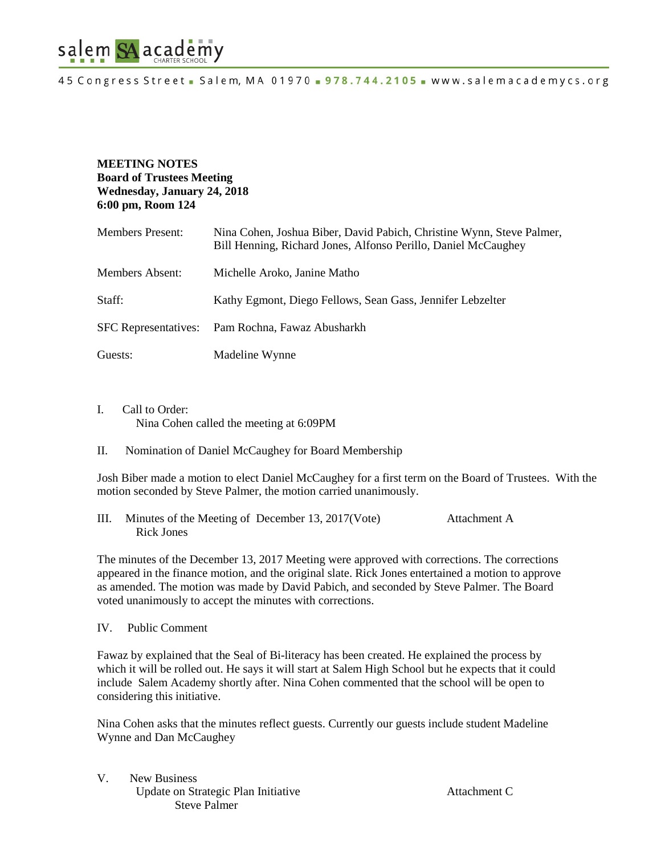

# **MEETING NOTES Board of Trustees Meeting Wednesday, January 24, 2018 6:00 pm, Room 124**

| <b>Members Present:</b>     | Nina Cohen, Joshua Biber, David Pabich, Christine Wynn, Steve Palmer,<br>Bill Henning, Richard Jones, Alfonso Perillo, Daniel McCaughey |
|-----------------------------|-----------------------------------------------------------------------------------------------------------------------------------------|
| Members Absent:             | Michelle Aroko, Janine Matho                                                                                                            |
| Staff:                      | Kathy Egmont, Diego Fellows, Sean Gass, Jennifer Lebzelter                                                                              |
| <b>SFC</b> Representatives: | Pam Rochna, Fawaz Abusharkh                                                                                                             |
| Guests:                     | Madeline Wynne                                                                                                                          |

- I. Call to Order: Nina Cohen called the meeting at 6:09PM
- II. Nomination of Daniel McCaughey for Board Membership

Josh Biber made a motion to elect Daniel McCaughey for a first term on the Board of Trustees. With the motion seconded by Steve Palmer, the motion carried unanimously.

III. Minutes of the Meeting of December 13, 2017(Vote) Attachment A Rick Jones

The minutes of the December 13, 2017 Meeting were approved with corrections. The corrections appeared in the finance motion, and the original slate. Rick Jones entertained a motion to approve as amended. The motion was made by David Pabich, and seconded by Steve Palmer. The Board voted unanimously to accept the minutes with corrections.

IV. Public Comment

Fawaz by explained that the Seal of Bi-literacy has been created. He explained the process by which it will be rolled out. He says it will start at Salem High School but he expects that it could include Salem Academy shortly after. Nina Cohen commented that the school will be open to considering this initiative.

Nina Cohen asks that the minutes reflect guests. Currently our guests include student Madeline Wynne and Dan McCaughey

V. New Business Update on Strategic Plan Initiative **Attachment C** Steve Palmer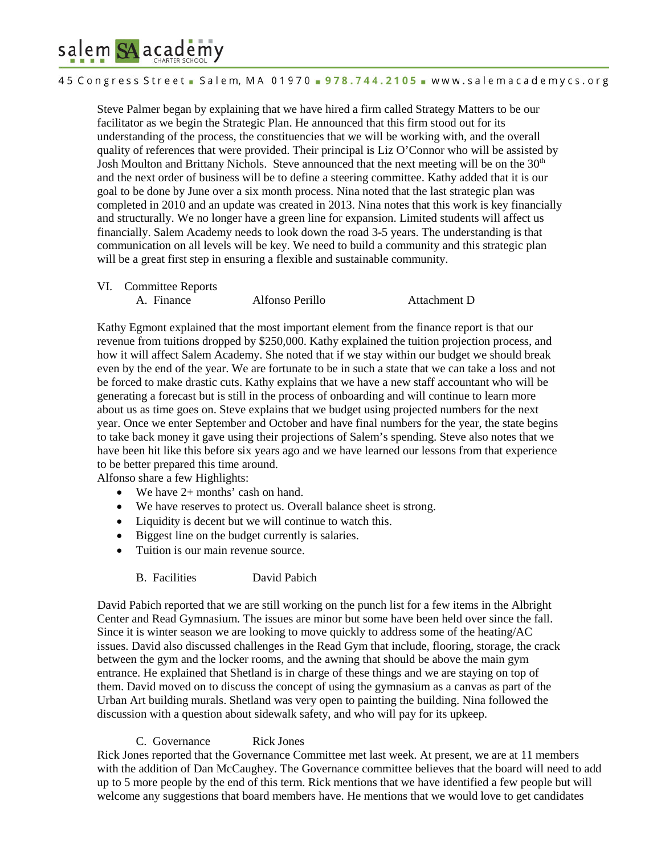# salem SA academy

45 Congress Street - Salem, MA 01970 - 978.744.2105 - www.salemacademycs.org

Steve Palmer began by explaining that we have hired a firm called Strategy Matters to be our facilitator as we begin the Strategic Plan. He announced that this firm stood out for its understanding of the process, the constituencies that we will be working with, and the overall quality of references that were provided. Their principal is Liz O'Connor who will be assisted by Josh Moulton and Brittany Nichols. Steve announced that the next meeting will be on the  $30<sup>th</sup>$ and the next order of business will be to define a steering committee. Kathy added that it is our goal to be done by June over a six month process. Nina noted that the last strategic plan was completed in 2010 and an update was created in 2013. Nina notes that this work is key financially and structurally. We no longer have a green line for expansion. Limited students will affect us financially. Salem Academy needs to look down the road 3-5 years. The understanding is that communication on all levels will be key. We need to build a community and this strategic plan will be a great first step in ensuring a flexible and sustainable community.

- VI. Committee Reports
	- A. Finance Alfonso Perillo Attachment D

Kathy Egmont explained that the most important element from the finance report is that our revenue from tuitions dropped by \$250,000. Kathy explained the tuition projection process, and how it will affect Salem Academy. She noted that if we stay within our budget we should break even by the end of the year. We are fortunate to be in such a state that we can take a loss and not be forced to make drastic cuts. Kathy explains that we have a new staff accountant who will be generating a forecast but is still in the process of onboarding and will continue to learn more about us as time goes on. Steve explains that we budget using projected numbers for the next year. Once we enter September and October and have final numbers for the year, the state begins to take back money it gave using their projections of Salem's spending. Steve also notes that we have been hit like this before six years ago and we have learned our lessons from that experience to be better prepared this time around.

Alfonso share a few Highlights:

- We have 2+ months' cash on hand.
- We have reserves to protect us. Overall balance sheet is strong.
- Liquidity is decent but we will continue to watch this.
- Biggest line on the budget currently is salaries.
- Tuition is our main revenue source.
	- B. Facilities David Pabich

David Pabich reported that we are still working on the punch list for a few items in the Albright Center and Read Gymnasium. The issues are minor but some have been held over since the fall. Since it is winter season we are looking to move quickly to address some of the heating/AC issues. David also discussed challenges in the Read Gym that include, flooring, storage, the crack between the gym and the locker rooms, and the awning that should be above the main gym entrance. He explained that Shetland is in charge of these things and we are staying on top of them. David moved on to discuss the concept of using the gymnasium as a canvas as part of the Urban Art building murals. Shetland was very open to painting the building. Nina followed the discussion with a question about sidewalk safety, and who will pay for its upkeep.

# C. Governance Rick Jones

Rick Jones reported that the Governance Committee met last week. At present, we are at 11 members with the addition of Dan McCaughey. The Governance committee believes that the board will need to add up to 5 more people by the end of this term. Rick mentions that we have identified a few people but will welcome any suggestions that board members have. He mentions that we would love to get candidates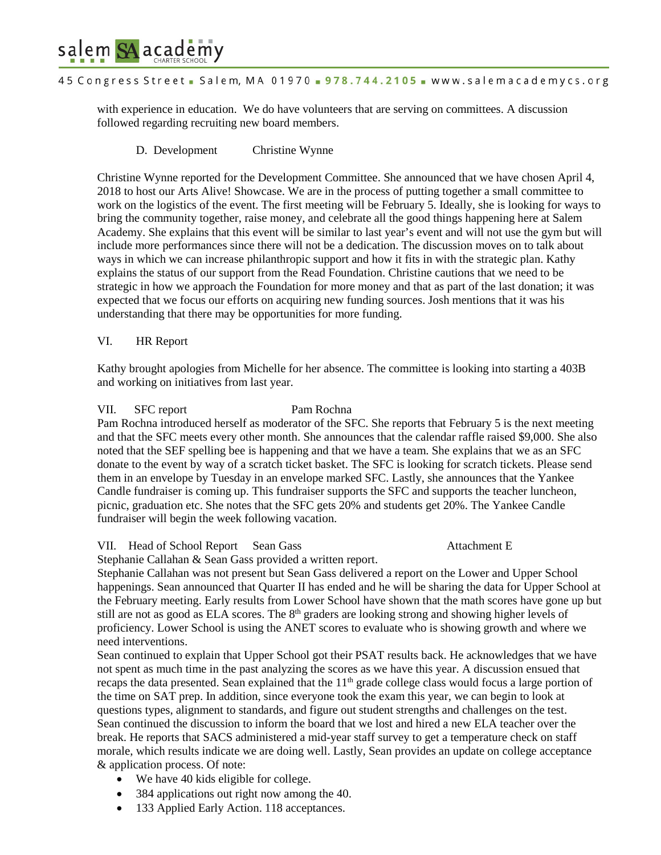

### 45 Congress Street - Salem, MA 01970 - 978.744.2105 - www.salemacademycs.org

with experience in education. We do have volunteers that are serving on committees. A discussion followed regarding recruiting new board members.

### D. Development Christine Wynne

Christine Wynne reported for the Development Committee. She announced that we have chosen April 4, 2018 to host our Arts Alive! Showcase. We are in the process of putting together a small committee to work on the logistics of the event. The first meeting will be February 5. Ideally, she is looking for ways to bring the community together, raise money, and celebrate all the good things happening here at Salem Academy. She explains that this event will be similar to last year's event and will not use the gym but will include more performances since there will not be a dedication. The discussion moves on to talk about ways in which we can increase philanthropic support and how it fits in with the strategic plan. Kathy explains the status of our support from the Read Foundation. Christine cautions that we need to be strategic in how we approach the Foundation for more money and that as part of the last donation; it was expected that we focus our efforts on acquiring new funding sources. Josh mentions that it was his understanding that there may be opportunities for more funding.

## VI. HR Report

Kathy brought apologies from Michelle for her absence. The committee is looking into starting a 403B and working on initiatives from last year.

### VII. SFC report Pam Rochna

Pam Rochna introduced herself as moderator of the SFC. She reports that February 5 is the next meeting and that the SFC meets every other month. She announces that the calendar raffle raised \$9,000. She also noted that the SEF spelling bee is happening and that we have a team. She explains that we as an SFC donate to the event by way of a scratch ticket basket. The SFC is looking for scratch tickets. Please send them in an envelope by Tuesday in an envelope marked SFC. Lastly, she announces that the Yankee Candle fundraiser is coming up. This fundraiser supports the SFC and supports the teacher luncheon, picnic, graduation etc. She notes that the SFC gets 20% and students get 20%. The Yankee Candle fundraiser will begin the week following vacation.

### VII. Head of School Report Sean Gass Attachment E

Stephanie Callahan & Sean Gass provided a written report.

Stephanie Callahan was not present but Sean Gass delivered a report on the Lower and Upper School happenings. Sean announced that Quarter II has ended and he will be sharing the data for Upper School at the February meeting. Early results from Lower School have shown that the math scores have gone up but still are not as good as ELA scores. The 8<sup>th</sup> graders are looking strong and showing higher levels of proficiency. Lower School is using the ANET scores to evaluate who is showing growth and where we need interventions.

Sean continued to explain that Upper School got their PSAT results back. He acknowledges that we have not spent as much time in the past analyzing the scores as we have this year. A discussion ensued that recaps the data presented. Sean explained that the  $11<sup>th</sup>$  grade college class would focus a large portion of the time on SAT prep. In addition, since everyone took the exam this year, we can begin to look at questions types, alignment to standards, and figure out student strengths and challenges on the test. Sean continued the discussion to inform the board that we lost and hired a new ELA teacher over the break. He reports that SACS administered a mid-year staff survey to get a temperature check on staff morale, which results indicate we are doing well. Lastly, Sean provides an update on college acceptance & application process. Of note:

- We have 40 kids eligible for college.
- 384 applications out right now among the 40.
- 133 Applied Early Action. 118 acceptances.